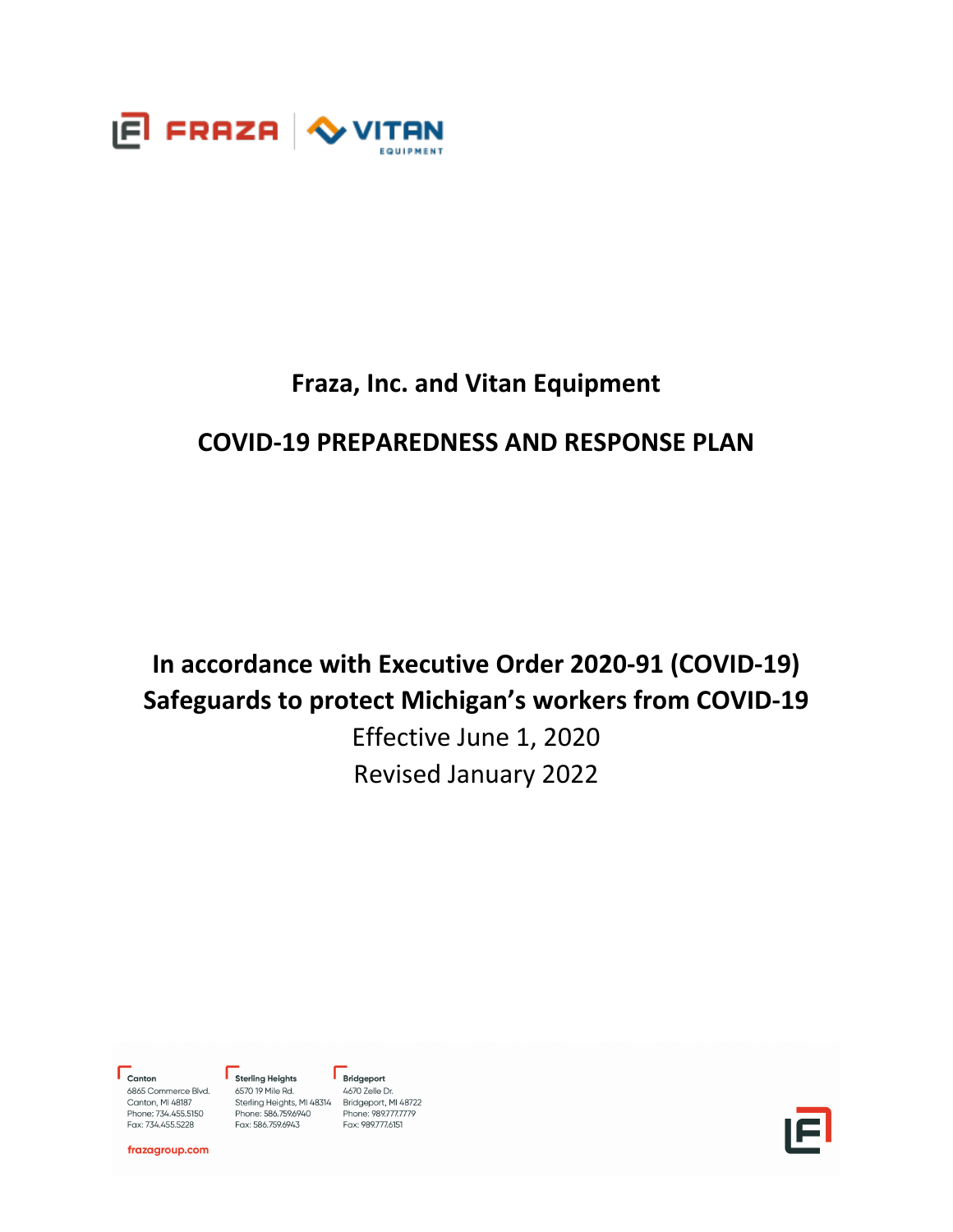

# **Fraza, Inc. and Vitan Equipment**

# **COVID-19 PREPAREDNESS AND RESPONSE PLAN**

# **In accordance with Executive Order 2020-91 (COVID-19) Safeguards to protect Michigan's workers from COVID-19**

Effective June 1, 2020 Revised January 2022

 $\Gamma$ <sub>Canton</sub>

6865 Commerce Blvd.<br>Canton, MI 48187 Phone: 734.455.5150 Fax: 734.455.5228

Sterling Heights 6570 19 Mile Rd. 0370 19 Prille Rd. 4070 Zelle Di.<br>Sterling Heights, MI 48314 Bridgeport, MI 48722<br>Phone: 989.777.7779 Fax: 586.759.6943

 $\Gamma$  Bridgeport 4670 Zelle Dr. Fax: 989.777.6151



frazagroup.com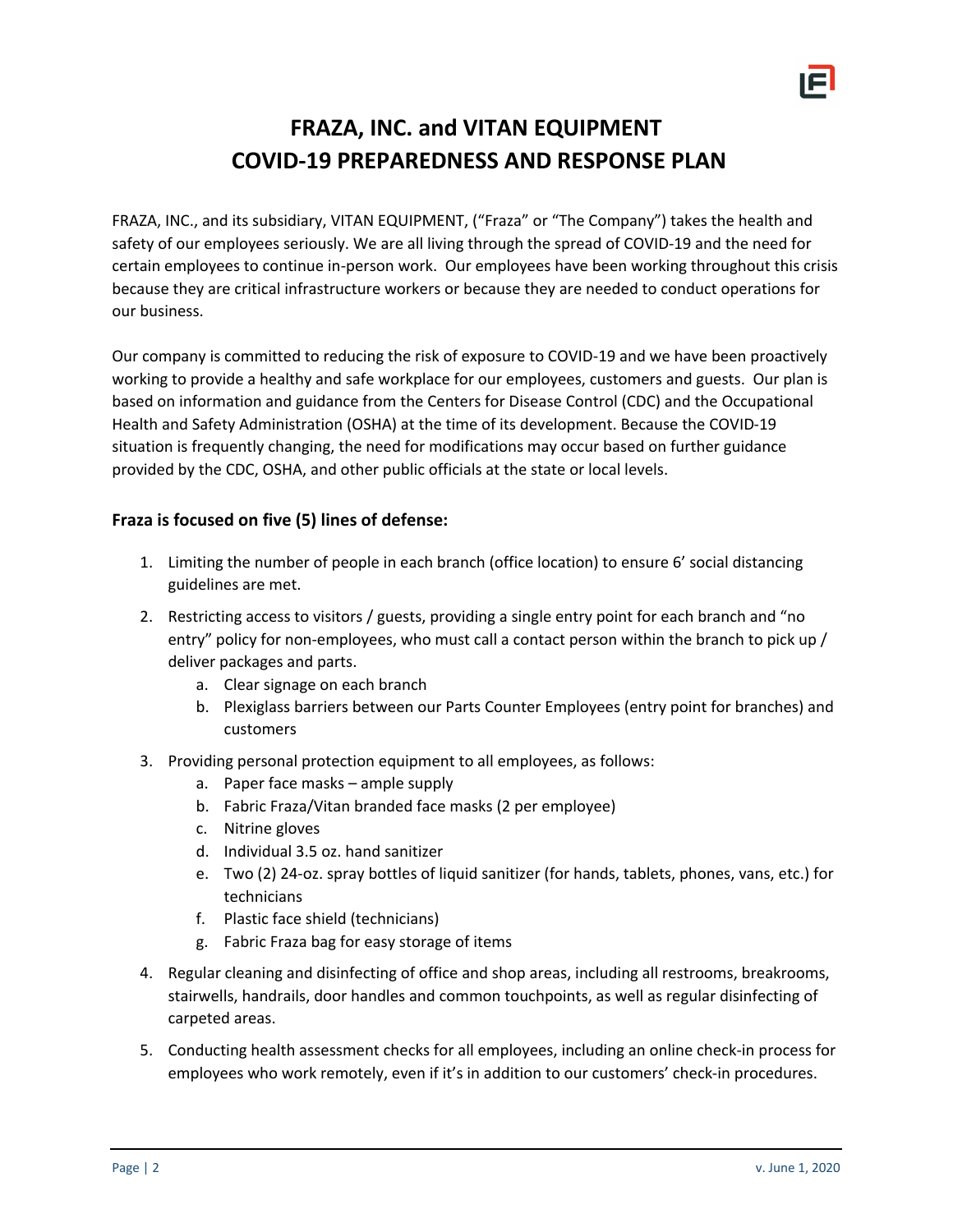

# **FRAZA, INC. and VITAN EQUIPMENT COVID-19 PREPAREDNESS AND RESPONSE PLAN**

FRAZA, INC., and its subsidiary, VITAN EQUIPMENT, ("Fraza" or "The Company") takes the health and safety of our employees seriously. We are all living through the spread of COVID-19 and the need for certain employees to continue in-person work. Our employees have been working throughout this crisis because they are critical infrastructure workers or because they are needed to conduct operations for our business.

Our company is committed to reducing the risk of exposure to COVID-19 and we have been proactively working to provide a healthy and safe workplace for our employees, customers and guests. Our plan is based on information and guidance from the Centers for Disease Control (CDC) and the Occupational Health and Safety Administration (OSHA) at the time of its development. Because the COVID-19 situation is frequently changing, the need for modifications may occur based on further guidance provided by the CDC, OSHA, and other public officials at the state or local levels.

## **Fraza is focused on five (5) lines of defense:**

- 1. Limiting the number of people in each branch (office location) to ensure 6' social distancing guidelines are met.
- 2. Restricting access to visitors / guests, providing a single entry point for each branch and "no entry" policy for non-employees, who must call a contact person within the branch to pick up / deliver packages and parts.
	- a. Clear signage on each branch
	- b. Plexiglass barriers between our Parts Counter Employees (entry point for branches) and customers
- 3. Providing personal protection equipment to all employees, as follows:
	- a. Paper face masks ample supply
	- b. Fabric Fraza/Vitan branded face masks (2 per employee)
	- c. Nitrine gloves
	- d. Individual 3.5 oz. hand sanitizer
	- e. Two (2) 24-oz. spray bottles of liquid sanitizer (for hands, tablets, phones, vans, etc.) for technicians
	- f. Plastic face shield (technicians)
	- g. Fabric Fraza bag for easy storage of items
- 4. Regular cleaning and disinfecting of office and shop areas, including all restrooms, breakrooms, stairwells, handrails, door handles and common touchpoints, as well as regular disinfecting of carpeted areas.
- 5. Conducting health assessment checks for all employees, including an online check-in process for employees who work remotely, even if it's in addition to our customers' check-in procedures.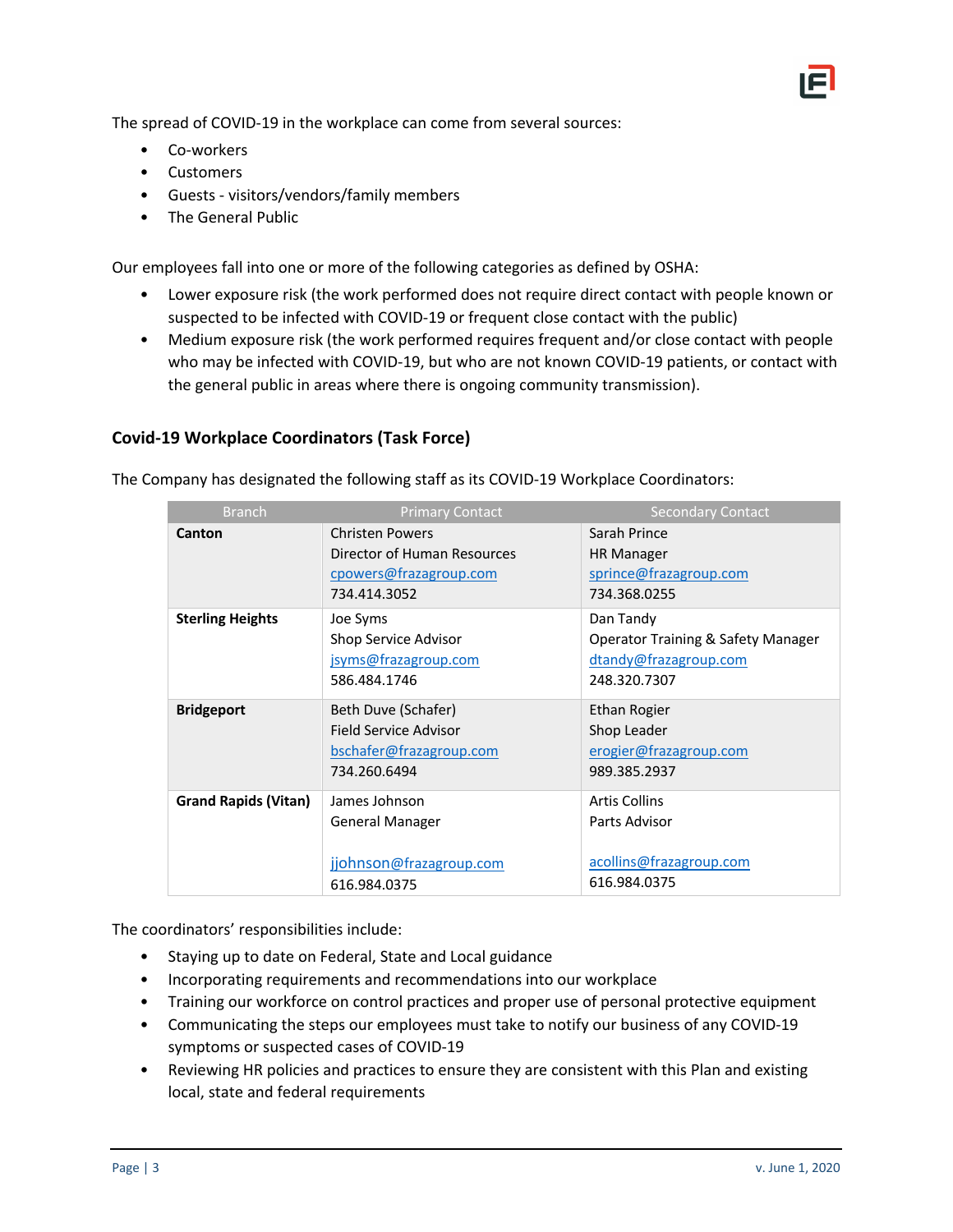The spread of COVID-19 in the workplace can come from several sources:

- Co-workers
- Customers
- Guests visitors/vendors/family members
- The General Public

Our employees fall into one or more of the following categories as defined by OSHA:

- Lower exposure risk (the work performed does not require direct contact with people known or suspected to be infected with COVID-19 or frequent close contact with the public)
- Medium exposure risk (the work performed requires frequent and/or close contact with people who may be infected with COVID-19, but who are not known COVID-19 patients, or contact with the general public in areas where there is ongoing community transmission).

#### **Covid-19 Workplace Coordinators (Task Force)**

The Company has designated the following staff as its COVID-19 Workplace Coordinators:

| <b>Branch</b>               | <b>Primary Contact</b>      | <b>Secondary Contact</b>           |
|-----------------------------|-----------------------------|------------------------------------|
| Canton                      | <b>Christen Powers</b>      | Sarah Prince                       |
|                             | Director of Human Resources | <b>HR Manager</b>                  |
|                             | cpowers@frazagroup.com      | sprince@frazagroup.com             |
|                             | 734.414.3052                | 734.368.0255                       |
| <b>Sterling Heights</b>     | Joe Syms                    | Dan Tandy                          |
|                             | Shop Service Advisor        | Operator Training & Safety Manager |
|                             | jsyms@frazagroup.com        | dtandy@frazagroup.com              |
|                             | 586.484.1746                | 248.320.7307                       |
| <b>Bridgeport</b>           | Beth Duve (Schafer)         | Ethan Rogier                       |
|                             | Field Service Advisor       | Shop Leader                        |
|                             | bschafer@frazagroup.com     | erogier@frazagroup.com             |
|                             | 734.260.6494                | 989.385.2937                       |
| <b>Grand Rapids (Vitan)</b> | James Johnson               | <b>Artis Collins</b>               |
|                             | General Manager             | Parts Advisor                      |
|                             |                             |                                    |
|                             | jjohnson@frazagroup.com     | acollins@frazagroup.com            |
|                             | 616.984.0375                | 616.984.0375                       |

The coordinators' responsibilities include:

- Staying up to date on Federal, State and Local guidance
- Incorporating requirements and recommendations into our workplace
- Training our workforce on control practices and proper use of personal protective equipment
- Communicating the steps our employees must take to notify our business of any COVID-19 symptoms or suspected cases of COVID-19
- Reviewing HR policies and practices to ensure they are consistent with this Plan and existing local, state and federal requirements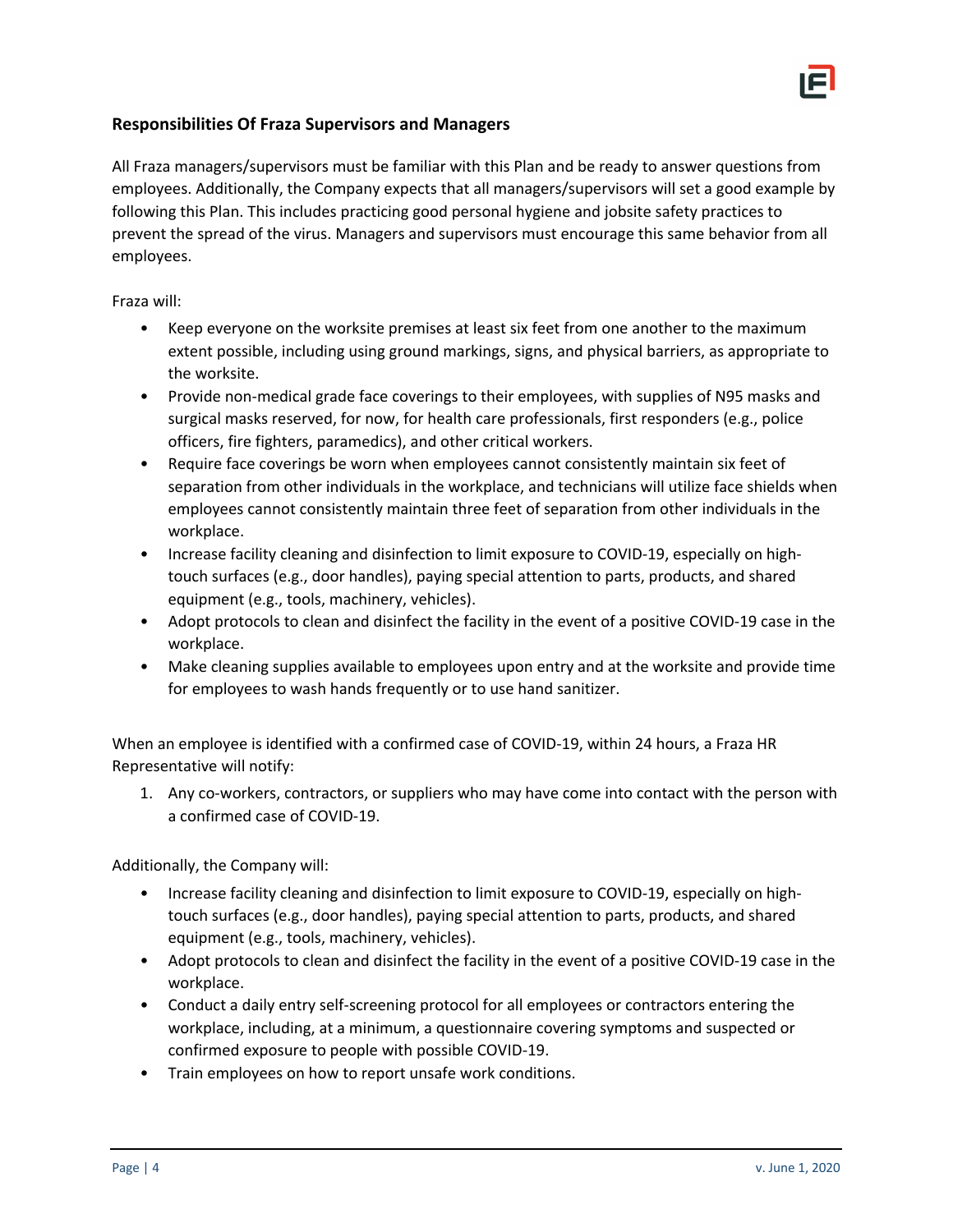

#### **Responsibilities Of Fraza Supervisors and Managers**

All Fraza managers/supervisors must be familiar with this Plan and be ready to answer questions from employees. Additionally, the Company expects that all managers/supervisors will set a good example by following this Plan. This includes practicing good personal hygiene and jobsite safety practices to prevent the spread of the virus. Managers and supervisors must encourage this same behavior from all employees.

#### Fraza will:

- Keep everyone on the worksite premises at least six feet from one another to the maximum extent possible, including using ground markings, signs, and physical barriers, as appropriate to the worksite.
- Provide non-medical grade face coverings to their employees, with supplies of N95 masks and surgical masks reserved, for now, for health care professionals, first responders (e.g., police officers, fire fighters, paramedics), and other critical workers.
- Require face coverings be worn when employees cannot consistently maintain six feet of separation from other individuals in the workplace, and technicians will utilize face shields when employees cannot consistently maintain three feet of separation from other individuals in the workplace.
- Increase facility cleaning and disinfection to limit exposure to COVID-19, especially on hightouch surfaces (e.g., door handles), paying special attention to parts, products, and shared equipment (e.g., tools, machinery, vehicles).
- Adopt protocols to clean and disinfect the facility in the event of a positive COVID-19 case in the workplace.
- Make cleaning supplies available to employees upon entry and at the worksite and provide time for employees to wash hands frequently or to use hand sanitizer.

When an employee is identified with a confirmed case of COVID-19, within 24 hours, a Fraza HR Representative will notify:

1. Any co-workers, contractors, or suppliers who may have come into contact with the person with a confirmed case of COVID-19.

Additionally, the Company will:

- Increase facility cleaning and disinfection to limit exposure to COVID-19, especially on hightouch surfaces (e.g., door handles), paying special attention to parts, products, and shared equipment (e.g., tools, machinery, vehicles).
- Adopt protocols to clean and disinfect the facility in the event of a positive COVID-19 case in the workplace.
- Conduct a daily entry self-screening protocol for all employees or contractors entering the workplace, including, at a minimum, a questionnaire covering symptoms and suspected or confirmed exposure to people with possible COVID-19.
- Train employees on how to report unsafe work conditions.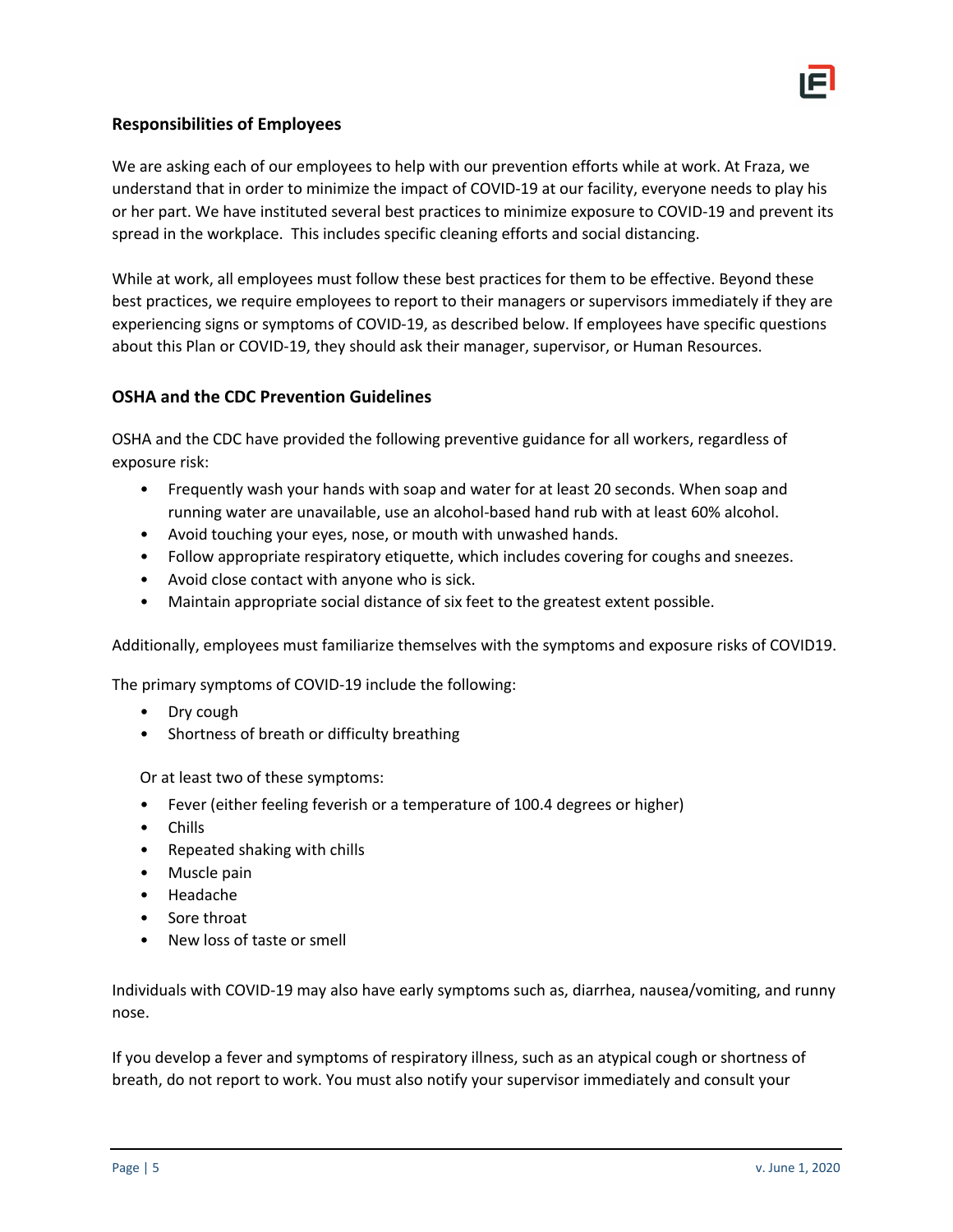

#### **Responsibilities of Employees**

We are asking each of our employees to help with our prevention efforts while at work. At Fraza, we understand that in order to minimize the impact of COVID-19 at our facility, everyone needs to play his or her part. We have instituted several best practices to minimize exposure to COVID-19 and prevent its spread in the workplace. This includes specific cleaning efforts and social distancing.

While at work, all employees must follow these best practices for them to be effective. Beyond these best practices, we require employees to report to their managers or supervisors immediately if they are experiencing signs or symptoms of COVID-19, as described below. If employees have specific questions about this Plan or COVID-19, they should ask their manager, supervisor, or Human Resources.

#### **OSHA and the CDC Prevention Guidelines**

OSHA and the CDC have provided the following preventive guidance for all workers, regardless of exposure risk:

- Frequently wash your hands with soap and water for at least 20 seconds. When soap and running water are unavailable, use an alcohol-based hand rub with at least 60% alcohol.
- Avoid touching your eyes, nose, or mouth with unwashed hands.
- Follow appropriate respiratory etiquette, which includes covering for coughs and sneezes.
- Avoid close contact with anyone who is sick.
- Maintain appropriate social distance of six feet to the greatest extent possible.

Additionally, employees must familiarize themselves with the symptoms and exposure risks of COVID19.

The primary symptoms of COVID-19 include the following:

- Dry cough
- Shortness of breath or difficulty breathing

Or at least two of these symptoms:

- Fever (either feeling feverish or a temperature of 100.4 degrees or higher)
- Chills
- Repeated shaking with chills
- Muscle pain
- Headache
- Sore throat
- New loss of taste or smell

Individuals with COVID-19 may also have early symptoms such as, diarrhea, nausea/vomiting, and runny nose.

If you develop a fever and symptoms of respiratory illness, such as an atypical cough or shortness of breath, do not report to work. You must also notify your supervisor immediately and consult your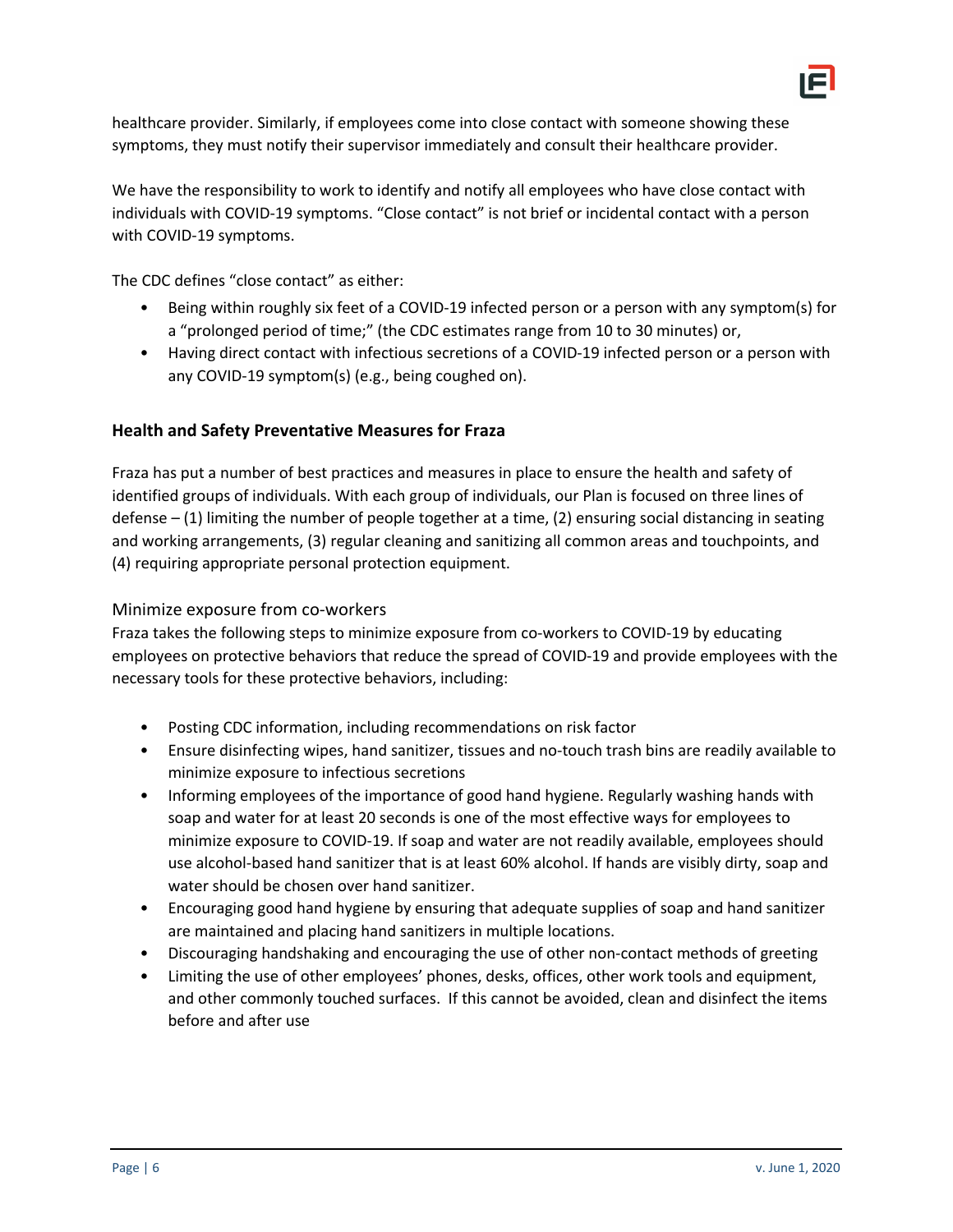

healthcare provider. Similarly, if employees come into close contact with someone showing these symptoms, they must notify their supervisor immediately and consult their healthcare provider.

We have the responsibility to work to identify and notify all employees who have close contact with individuals with COVID-19 symptoms. "Close contact" is not brief or incidental contact with a person with COVID-19 symptoms.

The CDC defines "close contact" as either:

- Being within roughly six feet of a COVID-19 infected person or a person with any symptom(s) for a "prolonged period of time;" (the CDC estimates range from 10 to 30 minutes) or,
- Having direct contact with infectious secretions of a COVID-19 infected person or a person with any COVID-19 symptom(s) (e.g., being coughed on).

## **Health and Safety Preventative Measures for Fraza**

Fraza has put a number of best practices and measures in place to ensure the health and safety of identified groups of individuals. With each group of individuals, our Plan is focused on three lines of defense – (1) limiting the number of people together at a time, (2) ensuring social distancing in seating and working arrangements, (3) regular cleaning and sanitizing all common areas and touchpoints, and (4) requiring appropriate personal protection equipment.

#### Minimize exposure from co-workers

Fraza takes the following steps to minimize exposure from co-workers to COVID-19 by educating employees on protective behaviors that reduce the spread of COVID-19 and provide employees with the necessary tools for these protective behaviors, including:

- Posting CDC information, including recommendations on risk factor
- Ensure disinfecting wipes, hand sanitizer, tissues and no-touch trash bins are readily available to minimize exposure to infectious secretions
- Informing employees of the importance of good hand hygiene. Regularly washing hands with soap and water for at least 20 seconds is one of the most effective ways for employees to minimize exposure to COVID-19. If soap and water are not readily available, employees should use alcohol-based hand sanitizer that is at least 60% alcohol. If hands are visibly dirty, soap and water should be chosen over hand sanitizer.
- Encouraging good hand hygiene by ensuring that adequate supplies of soap and hand sanitizer are maintained and placing hand sanitizers in multiple locations.
- Discouraging handshaking and encouraging the use of other non-contact methods of greeting
- Limiting the use of other employees' phones, desks, offices, other work tools and equipment, and other commonly touched surfaces. If this cannot be avoided, clean and disinfect the items before and after use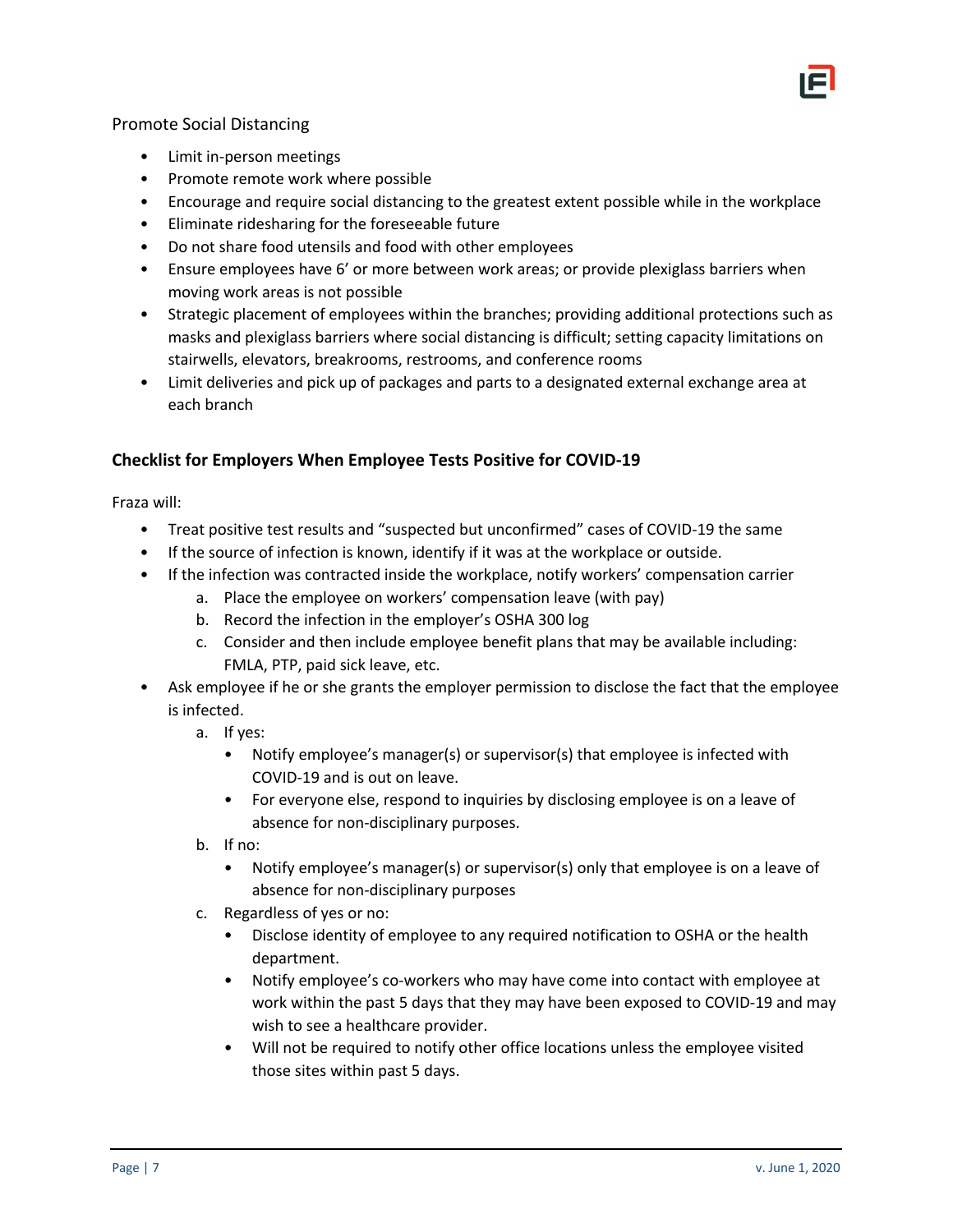

#### Promote Social Distancing

- Limit in-person meetings
- Promote remote work where possible
- Encourage and require social distancing to the greatest extent possible while in the workplace
- Eliminate ridesharing for the foreseeable future
- Do not share food utensils and food with other employees
- Ensure employees have 6' or more between work areas; or provide plexiglass barriers when moving work areas is not possible
- Strategic placement of employees within the branches; providing additional protections such as masks and plexiglass barriers where social distancing is difficult; setting capacity limitations on stairwells, elevators, breakrooms, restrooms, and conference rooms
- Limit deliveries and pick up of packages and parts to a designated external exchange area at each branch

## **Checklist for Employers When Employee Tests Positive for COVID-19**

Fraza will:

- Treat positive test results and "suspected but unconfirmed" cases of COVID-19 the same
- If the source of infection is known, identify if it was at the workplace or outside.
- If the infection was contracted inside the workplace, notify workers' compensation carrier
	- a. Place the employee on workers' compensation leave (with pay)
	- b. Record the infection in the employer's OSHA 300 log
	- c. Consider and then include employee benefit plans that may be available including: FMLA, PTP, paid sick leave, etc.
- Ask employee if he or she grants the employer permission to disclose the fact that the employee is infected.
	- a. If yes:
		- Notify employee's manager(s) or supervisor(s) that employee is infected with COVID-19 and is out on leave.
		- For everyone else, respond to inquiries by disclosing employee is on a leave of absence for non-disciplinary purposes.
	- b. If no:
		- Notify employee's manager(s) or supervisor(s) only that employee is on a leave of absence for non-disciplinary purposes
	- c. Regardless of yes or no:
		- Disclose identity of employee to any required notification to OSHA or the health department.
		- Notify employee's co-workers who may have come into contact with employee at work within the past 5 days that they may have been exposed to COVID-19 and may wish to see a healthcare provider.
		- Will not be required to notify other office locations unless the employee visited those sites within past 5 days.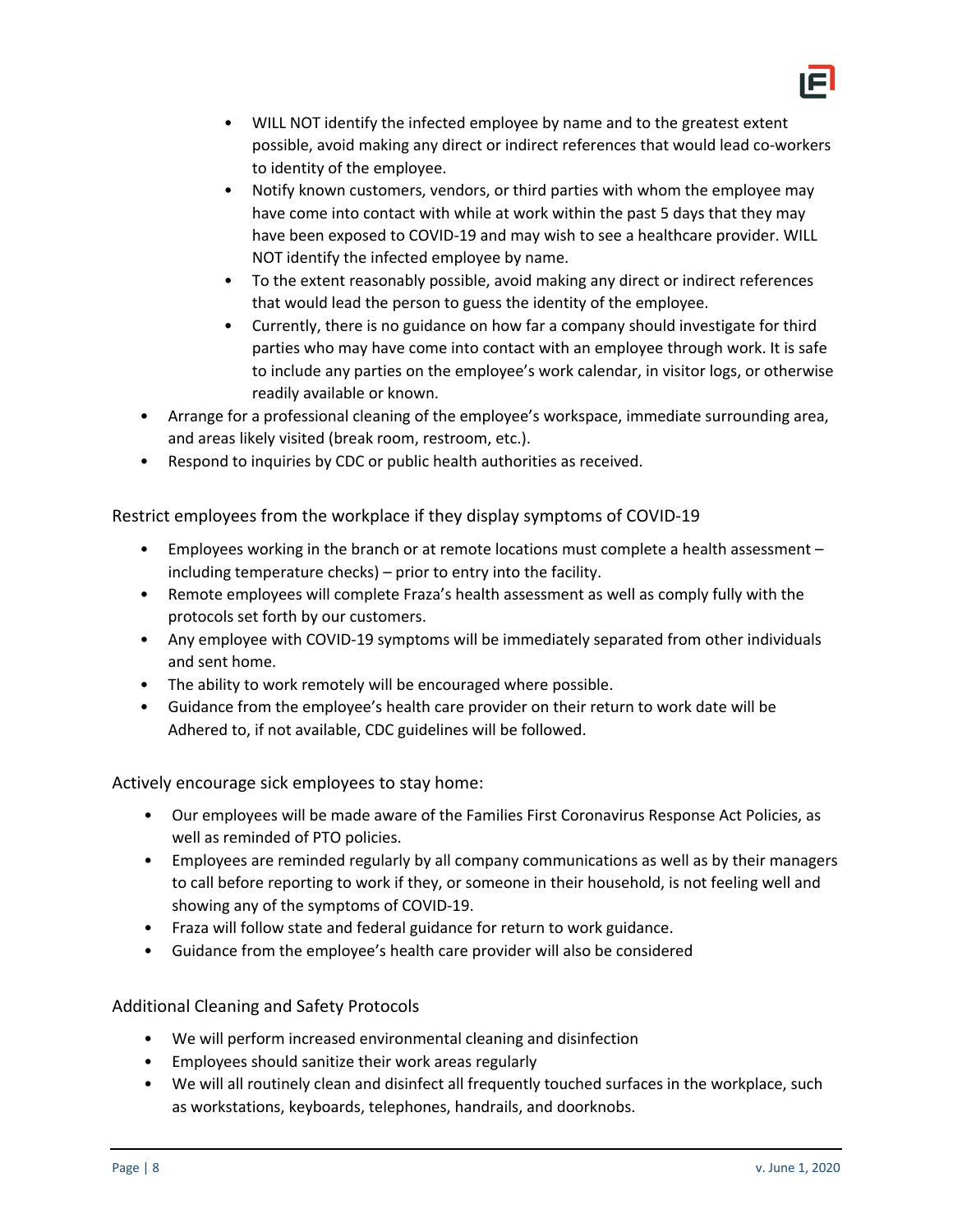

- WILL NOT identify the infected employee by name and to the greatest extent possible, avoid making any direct or indirect references that would lead co-workers to identity of the employee.
- Notify known customers, vendors, or third parties with whom the employee may have come into contact with while at work within the past 5 days that they may have been exposed to COVID-19 and may wish to see a healthcare provider. WILL NOT identify the infected employee by name.
- To the extent reasonably possible, avoid making any direct or indirect references that would lead the person to guess the identity of the employee.
- Currently, there is no guidance on how far a company should investigate for third parties who may have come into contact with an employee through work. It is safe to include any parties on the employee's work calendar, in visitor logs, or otherwise readily available or known.
- Arrange for a professional cleaning of the employee's workspace, immediate surrounding area, and areas likely visited (break room, restroom, etc.).
- Respond to inquiries by CDC or public health authorities as received.

Restrict employees from the workplace if they display symptoms of COVID-19

- Employees working in the branch or at remote locations must complete a health assessment including temperature checks) – prior to entry into the facility.
- Remote employees will complete Fraza's health assessment as well as comply fully with the protocols set forth by our customers.
- Any employee with COVID-19 symptoms will be immediately separated from other individuals and sent home.
- The ability to work remotely will be encouraged where possible.
- Guidance from the employee's health care provider on their return to work date will be Adhered to, if not available, CDC guidelines will be followed.

Actively encourage sick employees to stay home:

- Our employees will be made aware of the Families First Coronavirus Response Act Policies, as well as reminded of PTO policies.
- Employees are reminded regularly by all company communications as well as by their managers to call before reporting to work if they, or someone in their household, is not feeling well and showing any of the symptoms of COVID-19.
- Fraza will follow state and federal guidance for return to work guidance.
- Guidance from the employee's health care provider will also be considered

Additional Cleaning and Safety Protocols

- We will perform increased environmental cleaning and disinfection
- Employees should sanitize their work areas regularly
- We will all routinely clean and disinfect all frequently touched surfaces in the workplace, such as workstations, keyboards, telephones, handrails, and doorknobs.